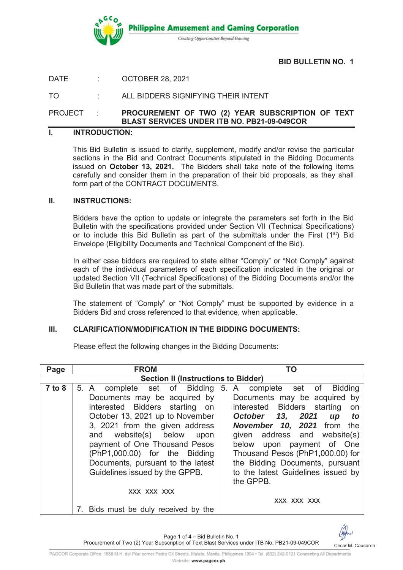

### **BID BULLETIN NO. 1**

DATE : OCTOBER 28, 2021

TO : ALL BIDDERS SIGNIFYING THEIR INTENT

# PROJECT : **PROCUREMENT OF TWO (2) YEAR SUBSCRIPTION OF TEXT BLAST SERVICES UNDER ITB NO. PB21-09-049COR**

#### **I. INTRODUCTION:**

This Bid Bulletin is issued to clarify, supplement, modify and/or revise the particular sections in the Bid and Contract Documents stipulated in the Bidding Documents issued on **October 13, 2021.** The Bidders shall take note of the following items carefully and consider them in the preparation of their bid proposals, as they shall form part of the CONTRACT DOCUMENTS.

#### **II. INSTRUCTIONS:**

Bidders have the option to update or integrate the parameters set forth in the Bid Bulletin with the specifications provided under Section VII (Technical Specifications) or to include this Bid Bulletin as part of the submittals under the First  $(1^{st})$  Bid Envelope (Eligibility Documents and Technical Component of the Bid).

In either case bidders are required to state either "Comply" or "Not Comply" against each of the individual parameters of each specification indicated in the original or updated Section VII (Technical Specifications) of the Bidding Documents and/or the Bid Bulletin that was made part of the submittals.

The statement of "Comply" or "Not Comply" must be supported by evidence in a Bidders Bid and cross referenced to that evidence, when applicable.

# **III. CLARIFICATION/MODIFICATION IN THE BIDDING DOCUMENTS:**

Please effect the following changes in the Bidding Documents:

| Page       | <b>FROM</b>                                                                                                                                                                                                                                                                                                                                                            | TO                                                                                                                                                                                                                                                                                                                  |
|------------|------------------------------------------------------------------------------------------------------------------------------------------------------------------------------------------------------------------------------------------------------------------------------------------------------------------------------------------------------------------------|---------------------------------------------------------------------------------------------------------------------------------------------------------------------------------------------------------------------------------------------------------------------------------------------------------------------|
|            | <b>Section II (Instructions to Bidder)</b>                                                                                                                                                                                                                                                                                                                             |                                                                                                                                                                                                                                                                                                                     |
| $7$ to $8$ | 5. A complete set of Bidding 5. A complete set of Bidding<br>Documents may be acquired by<br>interested Bidders starting on<br>October 13, 2021 up to November<br>3, 2021 from the given address<br>and website(s) below upon<br>payment of One Thousand Pesos<br>(PhP1,000.00) for the Bidding<br>Documents, pursuant to the latest<br>Guidelines issued by the GPPB. | Documents may be acquired by<br>interested Bidders starting<br>on<br>October 13, 2021<br>up to<br>November 10, 2021 from the<br>given address and website(s)<br>below upon payment of One<br>Thousand Pesos (PhP1,000.00) for<br>the Bidding Documents, pursuant<br>to the latest Guidelines issued by<br>the GPPB. |
|            | XXX XXX XXX                                                                                                                                                                                                                                                                                                                                                            |                                                                                                                                                                                                                                                                                                                     |
|            | 7. Bids must be duly received by the                                                                                                                                                                                                                                                                                                                                   | XXX XXX XXX                                                                                                                                                                                                                                                                                                         |

Page **1** of **4 –** Bid Bulletin No. 1



Procurement of Two (2) Year Subscription of Text Blast Services under ITB No. PB21-09-049COR Cesar M. Causaren PAGCOR Corporate Office: 1588 M.H. del Pilar corner Pedro Gil Streets, Malate, Manila, Philippines 1004 · Tel. (632) 242-0121 Connecting All Departments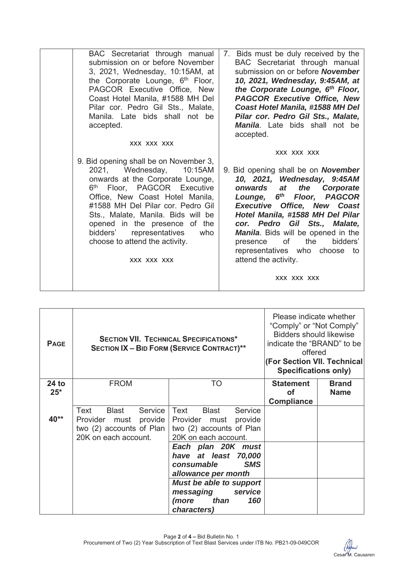| BAC Secretariat through manual                                                                                                                                                                                                                                                                                                                                                             | 7. Bids must be duly received by the                                                                                                                                                                                                                                                                                                                                                                                                   |
|--------------------------------------------------------------------------------------------------------------------------------------------------------------------------------------------------------------------------------------------------------------------------------------------------------------------------------------------------------------------------------------------|----------------------------------------------------------------------------------------------------------------------------------------------------------------------------------------------------------------------------------------------------------------------------------------------------------------------------------------------------------------------------------------------------------------------------------------|
| submission on or before November                                                                                                                                                                                                                                                                                                                                                           | BAC Secretariat through manual                                                                                                                                                                                                                                                                                                                                                                                                         |
| 3, 2021, Wednesday, 10:15AM, at                                                                                                                                                                                                                                                                                                                                                            | submission on or before <b>November</b>                                                                                                                                                                                                                                                                                                                                                                                                |
| the Corporate Lounge, 6 <sup>th</sup> Floor,                                                                                                                                                                                                                                                                                                                                               | 10, 2021, Wednesday, 9:45AM, at                                                                                                                                                                                                                                                                                                                                                                                                        |
| PAGCOR Executive Office, New                                                                                                                                                                                                                                                                                                                                                               | the Corporate Lounge, 6th Floor,                                                                                                                                                                                                                                                                                                                                                                                                       |
| Coast Hotel Manila, #1588 MH Del                                                                                                                                                                                                                                                                                                                                                           | <b>PAGCOR Executive Office, New</b>                                                                                                                                                                                                                                                                                                                                                                                                    |
| Pilar cor. Pedro Gil Sts., Malate,                                                                                                                                                                                                                                                                                                                                                         | Coast Hotel Manila, #1588 MH Del                                                                                                                                                                                                                                                                                                                                                                                                       |
| Manila. Late bids shall not be                                                                                                                                                                                                                                                                                                                                                             | Pilar cor. Pedro Gil Sts., Malate,                                                                                                                                                                                                                                                                                                                                                                                                     |
| accepted.                                                                                                                                                                                                                                                                                                                                                                                  | <b>Manila.</b> Late bids shall not be                                                                                                                                                                                                                                                                                                                                                                                                  |
| XXX XXX XXX                                                                                                                                                                                                                                                                                                                                                                                | accepted.                                                                                                                                                                                                                                                                                                                                                                                                                              |
| 9. Bid opening shall be on November 3,<br>2021, Wednesday,<br>10:15AM<br>onwards at the Corporate Lounge,<br>Floor, PAGCOR Executive<br>6 <sup>th</sup><br>Office, New Coast Hotel Manila,<br>#1588 MH Del Pilar cor. Pedro Gil<br>Sts., Malate, Manila. Bids will be<br>opened in the presence of the<br>bidders' representatives<br>who<br>choose to attend the activity.<br>XXX XXX XXX | XXX XXX XXX<br>9. Bid opening shall be on <b>November</b><br>10, 2021, Wednesday, 9:45AM<br>the<br>onwards at<br><b>Corporate</b><br>6th Floor, PAGCOR<br>Lounge,<br><b>Executive Office, New Coast</b><br>Hotel Manila, #1588 MH Del Pilar<br>cor. Pedro Gil Sts., Malate,<br><b>Manila</b> . Bids will be opened in the<br>of<br>the<br>bidders'<br>presence<br>representatives who choose to<br>attend the activity.<br>XXX XXX XXX |

| <b>PAGE</b>    | <b>SECTION VII. TECHNICAL SPECIFICATIONS*</b><br><b>SECTION IX - BID FORM (SERVICE CONTRACT)**</b>    |                                                                                                                   | Please indicate whether<br>"Comply" or "Not Comply"<br><b>Bidders should likewise</b><br>indicate the "BRAND" to be<br>offered<br>(For Section VII. Technical<br><b>Specifications only)</b> |                             |
|----------------|-------------------------------------------------------------------------------------------------------|-------------------------------------------------------------------------------------------------------------------|----------------------------------------------------------------------------------------------------------------------------------------------------------------------------------------------|-----------------------------|
| 24 to<br>$25*$ | <b>FROM</b>                                                                                           | TO                                                                                                                | <b>Statement</b><br>οf                                                                                                                                                                       | <b>Brand</b><br><b>Name</b> |
|                |                                                                                                       |                                                                                                                   | <b>Compliance</b>                                                                                                                                                                            |                             |
| 40**           | Blast<br>Service<br>Text<br>Provider must provide<br>two (2) accounts of Plan<br>20K on each account. | Text<br>Blast<br>Service<br>Provider must provide<br>two (2) accounts of Plan<br>20K on each account.             |                                                                                                                                                                                              |                             |
|                |                                                                                                       | Each plan 20K must<br>have at least 70,000<br><b>SMS</b><br>consumable                                            |                                                                                                                                                                                              |                             |
|                |                                                                                                       | allowance per month<br><b>Must be able to support</b><br>messaging service<br>than<br>(more<br>160<br>characters) |                                                                                                                                                                                              |                             |

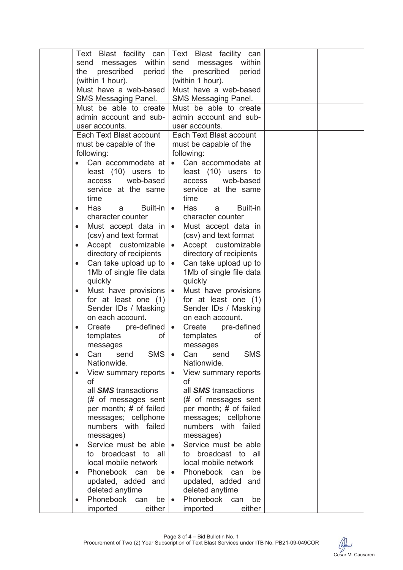| Text Blast facility can                                   | Text Blast facility can                                   |
|-----------------------------------------------------------|-----------------------------------------------------------|
| messages within<br>send                                   | messages within<br>send                                   |
| prescribed<br>period<br>the                               | prescribed<br>period<br>the                               |
| (within 1 hour).                                          | (within 1 hour).                                          |
| Must have a web-based<br>SMS Messaging Panel.             | Must have a web-based<br>SMS Messaging Panel.             |
| Must be able to create                                    | Must be able to create                                    |
| admin account and sub-                                    | admin account and sub-                                    |
| user accounts.                                            | user accounts.                                            |
| Each Text Blast account                                   | Each Text Blast account                                   |
| must be capable of the                                    | must be capable of the                                    |
| following:                                                | following:                                                |
| Can accommodate at                                        | Can accommodate at<br>$\bullet$                           |
| least (10) users to                                       | least (10) users to                                       |
| web-based<br>access                                       | web-based<br>access                                       |
| service at the same                                       | service at the same                                       |
| time                                                      | time                                                      |
| Has<br>Built-in<br>a<br>$\bullet$                         | Has<br><b>Built-in</b><br>$\bullet$<br>a                  |
| character counter                                         | character counter                                         |
| Must accept data in<br>$\bullet$<br>(csv) and text format | Must accept data in<br>$\bullet$<br>(csv) and text format |
| Accept customizable<br>$\bullet$                          | Accept customizable<br>$\bullet$                          |
| directory of recipients                                   | directory of recipients                                   |
| Can take upload up to<br>$\bullet$                        | Can take upload up to                                     |
| 1Mb of single file data                                   | 1Mb of single file data                                   |
| quickly                                                   | quickly                                                   |
| Must have provisions<br>$\bullet$                         | Must have provisions<br>$\bullet$                         |
| for at least one (1)                                      | for at least one (1)                                      |
| Sender IDs / Masking                                      | Sender IDs / Masking                                      |
| on each account.                                          | on each account.                                          |
| Create<br>pre-defined  <br>$\bullet$                      | Create<br>pre-defined<br>$\bullet$                        |
| of<br>templates                                           | templates<br>οf                                           |
| messages                                                  | messages                                                  |
| <b>SMS</b><br>Can<br>send<br>$\bullet$<br>Nationwide.     | Can<br><b>SMS</b><br>send<br>Nationwide.                  |
| View summary reports                                      | View summary reports                                      |
| of                                                        | οf                                                        |
| all <b>SMS</b> transactions                               | all <b>SMS</b> transactions                               |
| (# of messages sent                                       | (# of messages sent                                       |
| per month; # of failed                                    | per month; # of failed                                    |
| messages; cellphone                                       | messages; cellphone                                       |
| numbers with failed                                       | numbers with failed                                       |
| messages)                                                 | messages)                                                 |
| Service must be able<br>$\bullet$<br>to broadcast to all  | Service must be able<br>to broadcast to all               |
| local mobile network                                      | local mobile network                                      |
| Phonebook can<br>be<br>$\bullet$                          | Phonebook can<br>be                                       |
| updated, added and                                        | updated, added and                                        |
| deleted anytime                                           | deleted anytime                                           |
| Phonebook<br>be <sub>1</sub><br>can<br>$\bullet$          | Phonebook<br>can<br>be<br>$\bullet$                       |
| imported<br>either                                        | imported<br>either                                        |